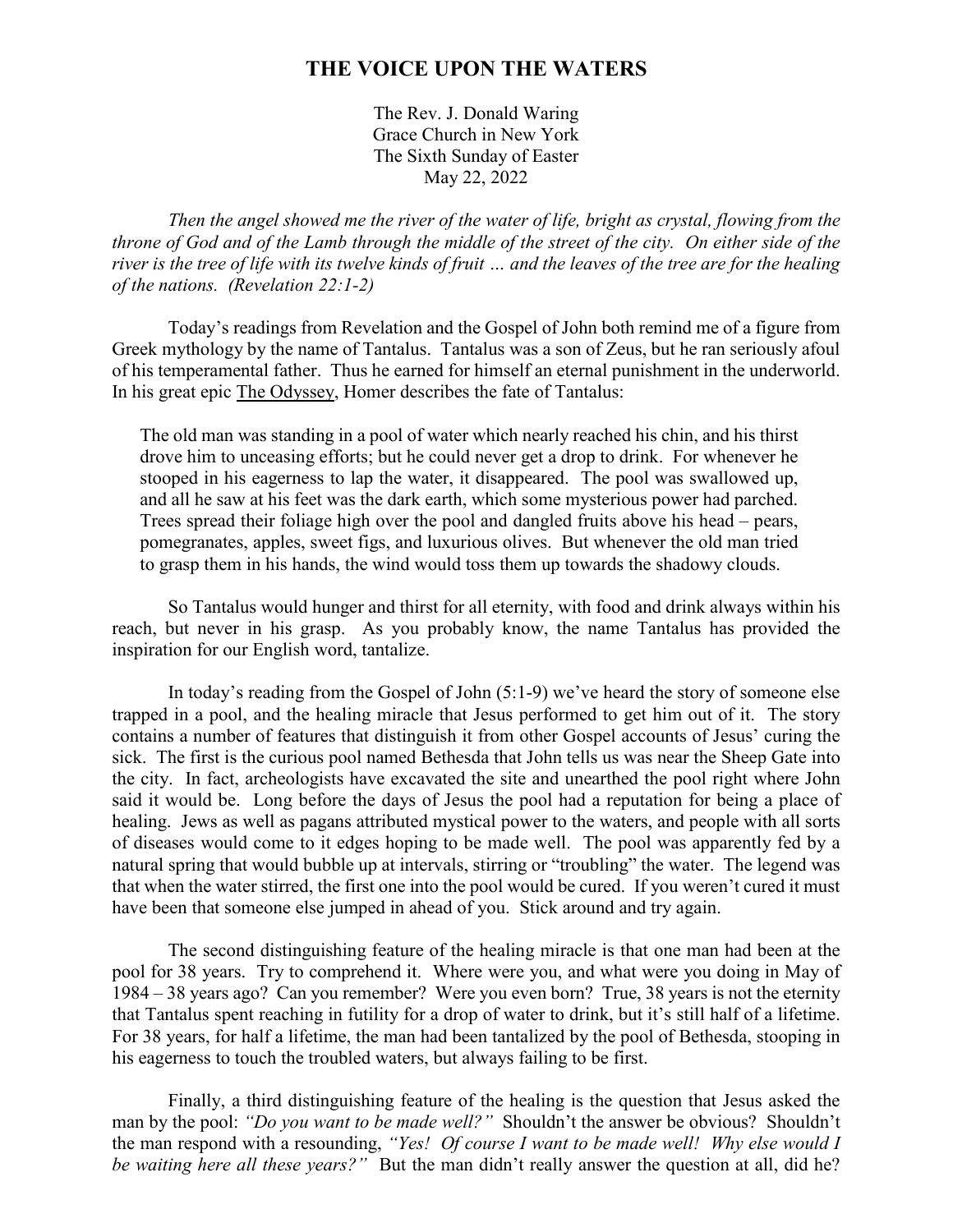## **THE VOICE UPON THE WATERS**

The Rev. J. Donald Waring Grace Church in New York The Sixth Sunday of Easter May 22, 2022

*Then the angel showed me the river of the water of life, bright as crystal, flowing from the throne of God and of the Lamb through the middle of the street of the city. On either side of the river is the tree of life with its twelve kinds of fruit … and the leaves of the tree are for the healing of the nations. (Revelation 22:1-2)* 

Today's readings from Revelation and the Gospel of John both remind me of a figure from Greek mythology by the name of Tantalus. Tantalus was a son of Zeus, but he ran seriously afoul of his temperamental father. Thus he earned for himself an eternal punishment in the underworld. In his great epic The Odyssey, Homer describes the fate of Tantalus:

The old man was standing in a pool of water which nearly reached his chin, and his thirst drove him to unceasing efforts; but he could never get a drop to drink. For whenever he stooped in his eagerness to lap the water, it disappeared. The pool was swallowed up, and all he saw at his feet was the dark earth, which some mysterious power had parched. Trees spread their foliage high over the pool and dangled fruits above his head – pears, pomegranates, apples, sweet figs, and luxurious olives. But whenever the old man tried to grasp them in his hands, the wind would toss them up towards the shadowy clouds.

So Tantalus would hunger and thirst for all eternity, with food and drink always within his reach, but never in his grasp. As you probably know, the name Tantalus has provided the inspiration for our English word, tantalize.

In today's reading from the Gospel of John (5:1-9) we've heard the story of someone else trapped in a pool, and the healing miracle that Jesus performed to get him out of it. The story contains a number of features that distinguish it from other Gospel accounts of Jesus' curing the sick. The first is the curious pool named Bethesda that John tells us was near the Sheep Gate into the city. In fact, archeologists have excavated the site and unearthed the pool right where John said it would be. Long before the days of Jesus the pool had a reputation for being a place of healing. Jews as well as pagans attributed mystical power to the waters, and people with all sorts of diseases would come to it edges hoping to be made well. The pool was apparently fed by a natural spring that would bubble up at intervals, stirring or "troubling" the water. The legend was that when the water stirred, the first one into the pool would be cured. If you weren't cured it must have been that someone else jumped in ahead of you. Stick around and try again.

The second distinguishing feature of the healing miracle is that one man had been at the pool for 38 years. Try to comprehend it. Where were you, and what were you doing in May of 1984 – 38 years ago? Can you remember? Were you even born? True, 38 years is not the eternity that Tantalus spent reaching in futility for a drop of water to drink, but it's still half of a lifetime. For 38 years, for half a lifetime, the man had been tantalized by the pool of Bethesda, stooping in his eagerness to touch the troubled waters, but always failing to be first.

Finally, a third distinguishing feature of the healing is the question that Jesus asked the man by the pool: *"Do you want to be made well?"* Shouldn't the answer be obvious? Shouldn't the man respond with a resounding, *"Yes! Of course I want to be made well! Why else would I be waiting here all these years?"* But the man didn't really answer the question at all, did he?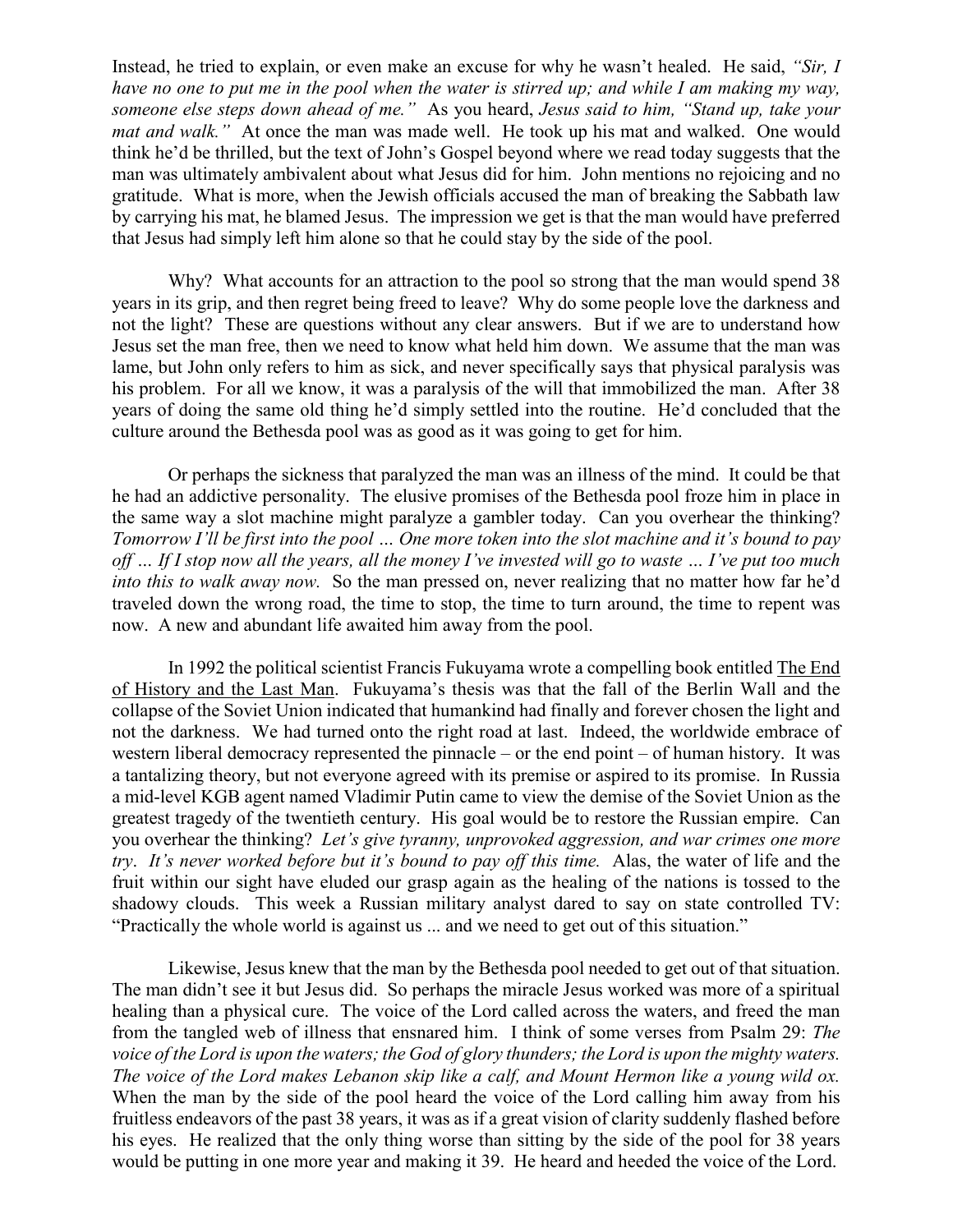Instead, he tried to explain, or even make an excuse for why he wasn't healed. He said, *"Sir, I have no one to put me in the pool when the water is stirred up; and while I am making my way, someone else steps down ahead of me."* As you heard, *Jesus said to him, "Stand up, take your mat and walk."* At once the man was made well. He took up his mat and walked. One would think he'd be thrilled, but the text of John's Gospel beyond where we read today suggests that the man was ultimately ambivalent about what Jesus did for him. John mentions no rejoicing and no gratitude. What is more, when the Jewish officials accused the man of breaking the Sabbath law by carrying his mat, he blamed Jesus. The impression we get is that the man would have preferred that Jesus had simply left him alone so that he could stay by the side of the pool.

Why? What accounts for an attraction to the pool so strong that the man would spend 38 years in its grip, and then regret being freed to leave? Why do some people love the darkness and not the light? These are questions without any clear answers. But if we are to understand how Jesus set the man free, then we need to know what held him down. We assume that the man was lame, but John only refers to him as sick, and never specifically says that physical paralysis was his problem. For all we know, it was a paralysis of the will that immobilized the man. After 38 years of doing the same old thing he'd simply settled into the routine. He'd concluded that the culture around the Bethesda pool was as good as it was going to get for him.

Or perhaps the sickness that paralyzed the man was an illness of the mind. It could be that he had an addictive personality. The elusive promises of the Bethesda pool froze him in place in the same way a slot machine might paralyze a gambler today. Can you overhear the thinking? *Tomorrow I'll be first into the pool … One more token into the slot machine and it's bound to pay off … If I stop now all the years, all the money I've invested will go to waste … I've put too much into this to walk away now.* So the man pressed on, never realizing that no matter how far he'd traveled down the wrong road, the time to stop, the time to turn around, the time to repent was now. A new and abundant life awaited him away from the pool.

In 1992 the political scientist Francis Fukuyama wrote a compelling book entitled The End of History and the Last Man. Fukuyama's thesis was that the fall of the Berlin Wall and the collapse of the Soviet Union indicated that humankind had finally and forever chosen the light and not the darkness. We had turned onto the right road at last. Indeed, the worldwide embrace of western liberal democracy represented the pinnacle – or the end point – of human history. It was a tantalizing theory, but not everyone agreed with its premise or aspired to its promise. In Russia a mid-level KGB agent named Vladimir Putin came to view the demise of the Soviet Union as the greatest tragedy of the twentieth century. His goal would be to restore the Russian empire. Can you overhear the thinking? *Let's give tyranny, unprovoked aggression, and war crimes one more try*. *It's never worked before but it's bound to pay off this time.* Alas, the water of life and the fruit within our sight have eluded our grasp again as the healing of the nations is tossed to the shadowy clouds. This week a Russian military analyst dared to say on state controlled TV: "Practically the whole world is against us ... and we need to get out of this situation."

Likewise, Jesus knew that the man by the Bethesda pool needed to get out of that situation. The man didn't see it but Jesus did. So perhaps the miracle Jesus worked was more of a spiritual healing than a physical cure. The voice of the Lord called across the waters, and freed the man from the tangled web of illness that ensnared him. I think of some verses from Psalm 29: *The voice of the Lord is upon the waters; the God of glory thunders; the Lord is upon the mighty waters. The voice of the Lord makes Lebanon skip like a calf, and Mount Hermon like a young wild ox.*  When the man by the side of the pool heard the voice of the Lord calling him away from his fruitless endeavors of the past 38 years, it was as if a great vision of clarity suddenly flashed before his eyes. He realized that the only thing worse than sitting by the side of the pool for 38 years would be putting in one more year and making it 39. He heard and heeded the voice of the Lord.